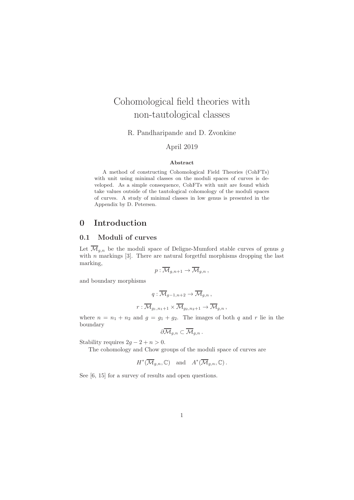# Cohomological field theories with non-tautological classes

R. Pandharipande and D. Zvonkine

### April 2019

#### Abstract

A method of constructing Cohomological Field Theories (CohFTs) with unit using minimal classes on the moduli spaces of curves is developed. As a simple consequence, CohFTs with unit are found which take values outside of the tautological cohomology of the moduli spaces of curves. A study of minimal classes in low genus is presented in the Appendix by D. Petersen.

### 0 Introduction

### 0.1 Moduli of curves

Let  $\overline{\mathcal{M}}_{g,n}$  be the moduli space of Deligne-Mumford stable curves of genus g with  $n$  markings [3]. There are natural forgetful morphisms dropping the last marking,

$$
p:\overline{\mathcal{M}}_{g,n+1}\to \overline{\mathcal{M}}_{g,n},
$$

and boundary morphisms

$$
q: \overline{\mathcal{M}}_{g-1,n+2} \to \overline{\mathcal{M}}_{g,n},
$$

$$
r: \overline{\mathcal{M}}_{g_1,n_1+1} \times \overline{\mathcal{M}}_{g_2,n_2+1} \to \overline{\mathcal{M}}_{g,n},
$$

where  $n = n_1 + n_2$  and  $g = g_1 + g_2$ . The images of both q and r lie in the boundary

$$
\partial \overline{\mathcal{M}}_{g,n}\subset \overline{\mathcal{M}}_{g,n}\,.
$$

Stability requires  $2q - 2 + n > 0$ .

The cohomology and Chow groups of the moduli space of curves are

$$
H^*(\overline{\mathcal{M}}_{g,n}, \mathbb{C}) \quad \text{and} \quad A^*(\overline{\mathcal{M}}_{g,n}, \mathbb{C}).
$$

See [6, 15] for a survey of results and open questions.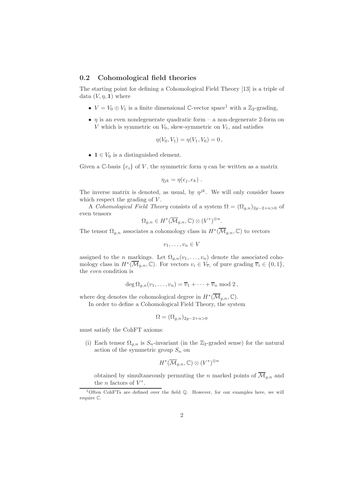#### 0.2 Cohomological field theories

The starting point for defining a Cohomological Field Theory [13] is a triple of data  $(V, \eta, 1)$  where

- $V = V_0 \oplus V_1$  is a finite dimensional C-vector space<sup>1</sup> with a Z<sub>2</sub>-grading,
- $\eta$  is an even nondegenerate quadratic form a non-degenerate 2-form on V which is symmetric on  $V_0$ , skew-symmetric on  $V_1$ , and satisfies

$$
\eta(V_0, V_1) = \eta(V_1, V_0) = 0,
$$

•  $1 \in V_0$  is a distinguished element.

Given a C-basis  $\{e_i\}$  of V, the symmetric form  $\eta$  can be written as a matrix

$$
\eta_{jk} = \eta(e_j, e_k) .
$$

The inverse matrix is denoted, as usual, by  $\eta^{jk}$ . We will only consider bases which respect the grading of  $V$ .

A Cohomological Field Theory consists of a system  $\Omega = (\Omega_{a,n})_{2a-2+n>0}$  of even tensors

$$
\Omega_{g,n}\in H^*(\overline{\mathcal{M}}_{g,n},\mathbb{C})\otimes (V^*)^{\otimes n}.
$$

The tensor  $\Omega_{g,n}$  associates a cohomology class in  $H^*(\overline{\mathcal{M}}_{g,n}, \mathbb{C})$  to vectors

$$
v_1,\ldots,v_n\in V
$$

assigned to the *n* markings. Let  $\Omega_{q,n}(v_1,\ldots,v_n)$  denote the associated cohomology class in  $H^*(\overline{\mathcal{M}}_{g,n}, \mathbb{C})$ . For vectors  $v_i \in V_{\overline{v}_i}$  of pure grading  $\overline{v}_i \in \{0,1\}$ , the even condition is

$$
\deg \Omega_{g,n}(v_1,\ldots,v_n)=\overline{v}_1+\cdots+\overline{v}_n \bmod 2,
$$

where deg denotes the cohomological degree in  $H^*(\overline{\mathcal{M}}_{g,n}, \mathbb{C})$ .

In order to define a Cohomological Field Theory, the system

$$
\Omega = (\Omega_{g,n})_{2g-2+n>0}
$$

must satisfy the CohFT axioms:

(i) Each tensor  $\Omega_{g,n}$  is  $S_n$ -invariant (in the Z<sub>2</sub>-graded sense) for the natural action of the symmetric group  $S_n$  on

$$
H^*(\overline{\mathcal{M}}_{g,n},\mathbb{C}) \otimes (V^*)^{\otimes n}
$$

obtained by simultaneously permuting the n marked points of  $\overline{\mathcal{M}}_{g,n}$  and the *n* factors of  $V^*$ .

<sup>&</sup>lt;sup>1</sup>Often CohFTs are defined over the field Q. However, for our examples here, we will require C.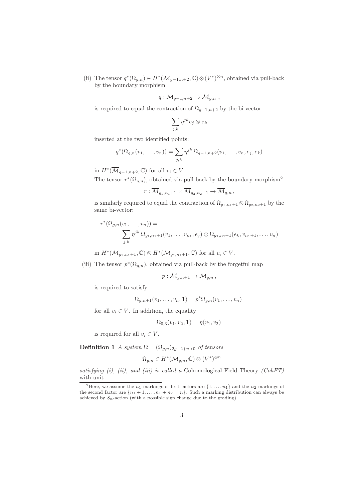(ii) The tensor  $q^*(\Omega_{g,n}) \in H^*(\overline{\mathcal{M}}_{g-1,n+2}, \mathbb{C}) \otimes (V^*)^{\otimes n}$ , obtained via pull-back by the boundary morphism

$$
q:\overline{\mathcal{M}}_{g-1,n+2}\to \overline{\mathcal{M}}_{g,n} ,
$$

is required to equal the contraction of  $\Omega_{q-1,n+2}$  by the bi-vector

$$
\sum_{j,k}\eta^{jk}e_j\otimes e_k
$$

inserted at the two identified points:

$$
q^{*}(\Omega_{g,n}(v_1,\ldots,v_n)) = \sum_{j,k} \eta^{jk} \Omega_{g-1,n+2}(v_1,\ldots,v_n,e_j,e_k)
$$

in  $H^*(\overline{\mathcal{M}}_{g-1,n+2}, \mathbb{C})$  for all  $v_i \in V$ .

The tensor  $r^*(\Omega_{g,n})$ , obtained via pull-back by the boundary morphism<sup>2</sup>

$$
r:\overline{\mathcal{M}}_{g_1,n_1+1}\times\overline{\mathcal{M}}_{g_2,n_2+1}\to\overline{\mathcal{M}}_{g,n},
$$

is similarly required to equal the contraction of  $\Omega_{g_1,n_1+1} \otimes \Omega_{g_2,n_2+1}$  by the same bi-vector:

$$
r^*(\Omega_{g,n}(v_1,\ldots,v_n)) = \sum_{j,k} \eta^{jk} \Omega_{g_1,n_1+1}(v_1,\ldots,v_{n_1},e_j) \otimes \Omega_{g_2,n_2+1}(e_k,v_{n_1+1},\ldots,v_n)
$$

in  $H^*(\overline{\mathcal{M}}_{g_1,n_1+1},\mathbb{C})\otimes H^*(\overline{\mathcal{M}}_{g_2,n_2+1},\mathbb{C})$  for all  $v_i\in V$ .

(iii) The tensor  $p^*(\Omega_{g,n})$ , obtained via pull-back by the forgetful map

$$
p:\overline{\mathcal{M}}_{g,n+1}\to\overline{\mathcal{M}}_{g,n}\,,
$$

is required to satisfy

$$
\Omega_{g,n+1}(v_1,\ldots,v_n,\mathbf{1})=p^*\Omega_{g,n}(v_1,\ldots,v_n)
$$

for all  $v_i \in V$ . In addition, the equality

$$
\Omega_{0,3}(v_1, v_2, \mathbf{1}) = \eta(v_1, v_2)
$$

is required for all  $v_i \in V$ .

Definition 1 A system  $\Omega = (\Omega_{a,n})_{2a-2+n>0}$  of tensors

$$
\Omega_{g,n} \in H^*(\overline{\mathcal{M}}_{g,n}, \mathbb{C}) \otimes (V^*)^{\otimes n}
$$

satisfying  $(i)$ ,  $(ii)$ , and  $(iii)$  is called a Cohomological Field Theory (CohFT) with unit.

<sup>&</sup>lt;sup>2</sup>Here, we assume the  $n_1$  markings of first factors are  $\{1, \ldots, n_1\}$  and the  $n_2$  markings of the second factor are  $\{n_1 + 1, \ldots, n_1 + n_2 = n\}$ . Such a marking distribution can always be achieved by  $S_n$ -action (with a possible sign change due to the grading).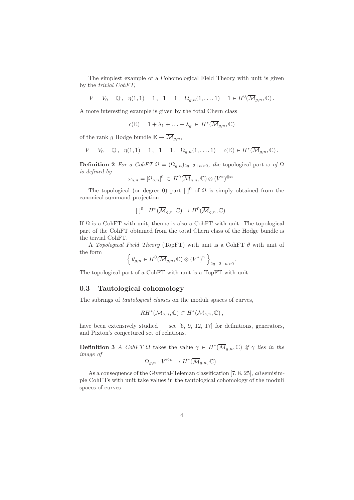The simplest example of a Cohomological Field Theory with unit is given by the trivial CohFT,

 $V = V_0 = \mathbb{Q}, \quad \eta(1,1) = 1, \quad \mathbf{1} = 1, \quad \Omega_{g,n}(1,\ldots,1) = 1 \in H^0(\overline{\mathcal{M}}_{g,n}, \mathbb{C}).$ 

A more interesting example is given by the total Chern class

$$
c(\mathbb{E}) = 1 + \lambda_1 + \ldots + \lambda_g \in H^*(\overline{\mathcal{M}}_{g,n}, \mathbb{C})
$$

of the rank g Hodge bundle  $\mathbb{E} \to \overline{\mathcal{M}}_{g,n}$ ,

$$
V = V_0 = \mathbb{Q}, \ \ \eta(1,1) = 1, \ \ 1 = 1, \ \ \Omega_{g,n}(1,\ldots,1) = c(\mathbb{E}) \in H^*(\overline{\mathcal{M}}_{g,n},\mathbb{C}).
$$

**Definition 2** For a CohFT  $\Omega = (\Omega_{q,n})_{2q-2+n>0}$ , the topological part  $\omega$  of  $\Omega$ is defined by

$$
\omega_{g,n} = [\Omega_{g,n}]^0 \in H^0(\overline{\mathcal{M}}_{g,n}, \mathbb{C}) \otimes (V^*)^{\otimes n}.
$$

The topological (or degree 0) part  $\lceil \cdot \rceil^0$  of  $\Omega$  is simply obtained from the canonical summand projection

$$
[ ]^{0}: H^{*}(\overline{\mathcal{M}}_{g,n}, \mathbb{C}) \to H^{0}(\overline{\mathcal{M}}_{g,n}, \mathbb{C}).
$$

If  $\Omega$  is a CohFT with unit, then  $\omega$  is also a CohFT with unit. The topological part of the CohFT obtained from the total Chern class of the Hodge bundle is the trivial CohFT.

A Topological Field Theory (TopFT) with unit is a CohFT  $\theta$  with unit of the form

$$
\left\{\,\theta_{g,n}\in H^0(\overline{\mathcal{M}}_{g,n},\mathbb{C})\otimes (V^*)^n\,\right\}_{2g-2+n>0}.
$$

The topological part of a CohFT with unit is a TopFT with unit.

### 0.3 Tautological cohomology

The subrings of tautological classes on the moduli spaces of curves,

$$
RH^*(\overline{\mathcal{M}}_{g,n},\mathbb{C})\subset H^*(\overline{\mathcal{M}}_{g,n},\mathbb{C}),
$$

have been extensively studied — see [6, 9, 12, 17] for definitions, generators, and Pixton's conjectured set of relations.

**Definition 3** A CohFT  $\Omega$  takes the value  $\gamma \in H^*(\overline{\mathcal{M}}_{g,n}, \mathbb{C})$  if  $\gamma$  lies in the image of

$$
\Omega_{g,n}: V^{\otimes n} \to H^*(\overline{\mathcal{M}}_{g,n}, \mathbb{C})\,.
$$

As a consequence of the Givental-Teleman classification [7, 8, 25], all semisimple CohFTs with unit take values in the tautological cohomology of the moduli spaces of curves.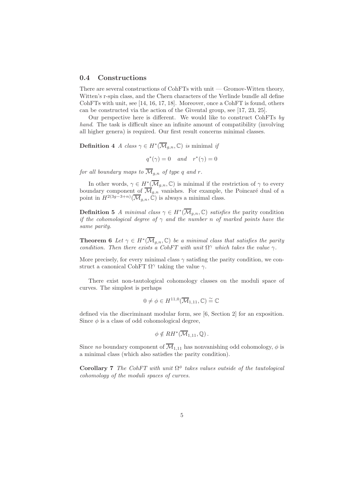#### 0.4 Constructions

There are several constructions of CohFTs with unit — Gromov-Witten theory, Witten's r-spin class, and the Chern characters of the Verlinde bundle all define CohFTs with unit, see [14, 16, 17, 18]. Moreover, once a CohFT is found, others can be constructed via the action of the Givental group, see [17, 23, 25].

Our perspective here is different. We would like to construct CohFTs by hand. The task is difficult since an infinite amount of compatibility (involving all higher genera) is required. Our first result concerns minimal classes.

**Definition** 4 A class  $\gamma \in H^*(\overline{\mathcal{M}}_{g,n}, \mathbb{C})$  is minimal if

 $q^*(\gamma) = 0$  and  $r^*(\gamma) = 0$ 

for all boundary maps to  $\overline{\mathcal{M}}_{q,n}$  of type q and r.

In other words,  $\gamma \in H^*(\overline{\mathcal{M}}_{g,n}, \mathbb{C})$  is minimal if the restriction of  $\gamma$  to every boundary component of  $\overline{\mathcal{M}}_{g,n}$  vanishes. For example, the Poincaré dual of a point in  $H^{2(3g-3+n)}(\overline{\mathcal{M}}_{g,n}, \mathbb{C})$  is always a minimal class.

**Definition 5** A minimal class  $\gamma \in H^*(\overline{\mathcal{M}}_{g,n}, \mathbb{C})$  satisfies the parity condition if the cohomological degree of  $\gamma$  and the number n of marked points have the same parity.

**Theorem 6** Let  $\gamma \in H^*(\overline{\mathcal{M}}_{g,n}, \mathbb{C})$  be a minimal class that satisfies the parity condition. Then there exists a CohFT with unit  $\Omega^{\gamma}$  which takes the value  $\gamma$ .

More precisely, for every minimal class  $\gamma$  satisfing the parity condition, we construct a canonical CohFT  $\Omega^{\gamma}$  taking the value  $\gamma$ .

There exist non-tautological cohomology classes on the moduli space of curves. The simplest is perhaps

$$
0 \neq \phi \in H^{11,0}(\overline{\mathcal{M}}_{1,11}, \mathbb{C}) \stackrel{\sim}{=} \mathbb{C}
$$

defined via the discriminant modular form, see [6, Section 2] for an exposition. Since  $\phi$  is a class of odd cohomological degree,

$$
\phi \notin RH^*(\overline{\mathcal{M}}_{1,11},\mathbb{Q})\,.
$$

Since no boundary component of  $\overline{\mathcal{M}}_{1,11}$  has nonvanishing odd cohomology,  $\phi$  is a minimal class (which also satisfies the parity condition).

Corollary 7 The CohFT with unit  $\Omega^{\phi}$  takes values outside of the tautological cohomology of the moduli spaces of curves.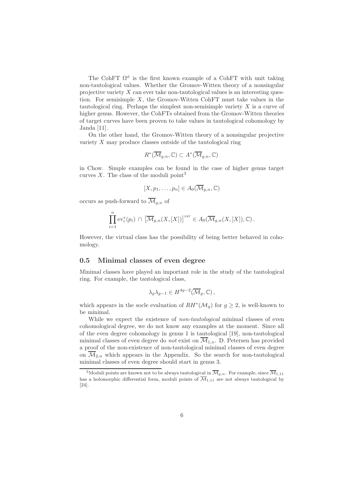The CohFT  $\Omega^{\phi}$  is the first known example of a CohFT with unit taking non-tautological values. Whether the Gromov-Witten theory of a nonsingular projective variety  $X$  can ever take non-tautological values is an interesting question. For semisimple  $X$ , the Gromov-Witten CohFT must take values in the tautological ring. Perhaps the simplest non-semisimple variety  $X$  is a curve of higher genus. However, the CohFTs obtained from the Gromov-Witten theories of target curves have been proven to take values in tautological cohomology by Janda [11].

On the other hand, the Gromov-Witten theory of a nonsingular projective variety X may produce classes outside of the tautological ring

$$
R^*(\overline{\mathcal{M}}_{g,n},\mathbb{C}) \subset A^*(\overline{\mathcal{M}}_{g,n},\mathbb{C})
$$

in Chow. Simple examples can be found in the case of higher genus target curves X. The class of the moduli point<sup>3</sup>

$$
[X, p_1, \ldots, p_n] \in A_0(\overline{\mathcal{M}}_{g,n}, \mathbb{C})
$$

occurs as push-forward to  $\overline{\mathcal{M}}_{q,n}$  of

$$
\prod_{i=1}^n \mathrm{ev}_i^*(p_i) \, \cap \, \big[\overline{\mathcal{M}}_{g,n}(X,[X])\big]^{vir} \in A_0(\overline{\mathcal{M}}_{g,n}(X,[X]),\mathbb{C})\,.
$$

However, the virtual class has the possibility of being better behaved in cohomology.

### 0.5 Minimal classes of even degree

Minimal classes have played an important role in the study of the tautological ring. For example, the tautological class,

$$
\lambda_g \lambda_{g-1} \in H^{4g-2}(\overline{\mathcal{M}}_g, \mathbb{C}),
$$

which appears in the socle evaluation of  $RH^*(\mathcal{M}_g)$  for  $g\geq 2$ , is well-known to be minimal.

While we expect the existence of *non-tautological* minimal classes of even cohomological degree, we do not know any examples at the moment. Since all of the even degree cohomology in genus 1 is tautological [19], non-tautological minimal classes of even degree do *not* exist on  $\overline{\mathcal{M}}_{1,n}$ . D. Petersen has provided a proof of the non-existence of non-tautological minimal classes of even degree on  $\overline{\mathcal{M}}_{2,n}$  which appears in the Appendix. So the search for non-tautological minimal classes of even degree should start in genus 3.

<sup>&</sup>lt;sup>3</sup>Moduli points are known not to be always tautological in  $\overline{\mathcal{M}}_{g,n}$ . For example, since  $\overline{\mathcal{M}}_{1,11}$ has a holomorphic differential form, moduli points of  $\overline{\mathcal{M}}_{1,11}$  are not always tautological by [24].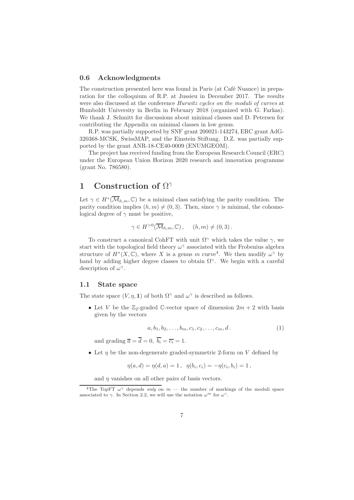### 0.6 Acknowledgments

The construction presented here was found in Paris (at Café Nuance) in preparation for the colloquium of R.P. at Jussieu in December 2017. The results were also discussed at the conference *Hurwitz cycles on the moduli of curves* at Humboldt University in Berlin in February 2018 (organized with G. Farkas). We thank J. Schmitt for discussions about minimal classes and D. Petersen for contributing the Appendix on minimal classes in low genus.

R.P. was partially supported by SNF grant 200021-143274, ERC grant AdG-320368-MCSK, SwissMAP, and the Einstein Stiftung. D.Z. was partially supported by the grant ANR-18-CE40-0009 (ENUMGEOM).

The project has received funding from the European Research Council (ERC) under the European Union Horizon 2020 research and innovation programme (grant No. 786580).

# 1 Construction of  $\Omega^{\gamma}$

Let  $\gamma \in H^*(\overline{\mathcal{M}}_{h,m}, \mathbb{C})$  be a minimal class satisfying the parity condition. The parity condition implies  $(h, m) \neq (0, 3)$ . Then, since  $\gamma$  is minimal, the cohomological degree of  $\gamma$  must be positive,

$$
\gamma \in H^{>0}(\overline{\mathcal{M}}_{h,m}, \mathbb{C}), \quad (h, m) \neq (0, 3).
$$

To construct a canonical CohFT with unit  $\Omega^{\gamma}$  which takes the value  $\gamma$ , we start with the topological field theory  $\omega^{\gamma}$  associated with the Frobenius algebra structure of  $H^*(X,\mathbb{C})$ , where X is a genus m curve<sup>4</sup>. We then modify  $\omega^{\gamma}$  by hand by adding higher degree classes to obtain  $\Omega^{\gamma}$ . We begin with a careful description of  $\omega^{\gamma}$ .

### 1.1 State space

The state space  $(V, \eta, 1)$  of both  $\Omega^{\gamma}$  and  $\omega^{\gamma}$  is described as follows.

• Let V be the  $\mathbb{Z}_2$ -graded C-vector space of dimension  $2m + 2$  with basis given by the vectors

$$
a, b_1, b_2, \dots, b_m, c_1, c_2, \dots, c_m, d. \tag{1}
$$

and grading  $\overline{a} = \overline{d} = 0$ ,  $\overline{b_i} = \overline{c_i} = 1$ .

• Let  $\eta$  be the non-degenerate graded-symmetric 2-form on V defined by

$$
\eta(a,d) = \eta(d,a) = 1\,,\ \ \eta(b_i,c_i) = -\eta(c_i,b_i) = 1\,,
$$

and  $\eta$  vanishes on all other pairs of basis vectors.

<sup>&</sup>lt;sup>4</sup>The TopFT  $\omega^{\gamma}$  depends only on  $m$  — the number of markings of the moduli space associated to  $\gamma$ . In Section 2.2, we will use the notation  $\omega^m$  for  $\omega^{\gamma}$ .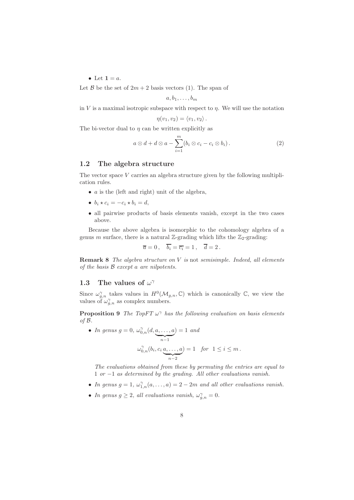• Let  $1 = a$ .

Let B be the set of  $2m + 2$  basis vectors (1). The span of

$$
a,b_1,\ldots,b_m
$$

in V is a maximal isotropic subspace with respect to  $n$ . We will use the notation

$$
\eta(v_1, v_2) = \langle v_1, v_2 \rangle.
$$

The bi-vector dual to  $\eta$  can be written explicitly as

$$
a\otimes d + d\otimes a - \sum_{i=1}^{m} (b_i\otimes c_i - c_i\otimes b_i).
$$
 (2)

#### 1.2 The algebra structure

The vector space V carries an algebra structure given by the following multiplication rules.

- $\bullet$  *a* is the (left and right) unit of the algebra,
- $b_i \star c_i = -c_i \star b_i = d$ ,
- all pairwise products of basis elements vanish, except in the two cases above.

Because the above algebra is isomorphic to the cohomology algebra of a genus m surface, there is a natural Z-grading which lifts the  $\mathbb{Z}_2$ -grading:

$$
\overline{a}=0\,,\quad \overline{b_i}=\overline{c_i}=1\,,\quad \overline{d}=2\,.
$$

**Remark 8** The algebra structure on  $V$  is not semisimple. Indeed, all elements of the basis B except a are nilpotents.

# 1.3 The values of  $\omega^{\gamma}$

Since  $\omega_{g,n}^{\gamma}$  takes values in  $H^{0}(\mathcal{M}_{g,n},\mathbb{C})$  which is canonically  $\mathbb{C}$ , we view the values of  $\omega_{g,n}^{\gamma}$  as complex numbers.

**Proposition 9** The TopFT  $\omega^{\gamma}$  has the following evaluation on basis elements of  $\mathcal B$ .

• In genus 
$$
g = 0
$$
,  $\omega_{0,n}^{\gamma}(d, \underbrace{a, \ldots, a}_{n-1}) = 1$  and  

$$
\omega_{0,n}^{\gamma}(b_i, c_i \underbrace{a, \ldots, a}_{n-2}) = 1 \text{ for } 1 \leq i \leq m.
$$

The evaluations obtained from these by permuting the entries are equal to 1 or −1 as determined by the grading. All other evaluations vanish.

- In genus  $g = 1, \omega_{1,n}^{\gamma}(a, \ldots, a) = 2 2m$  and all other evaluations vanish.
- In genus  $g \geq 2$ , all evaluations vanish,  $\omega_{g,n}^{\gamma} = 0$ .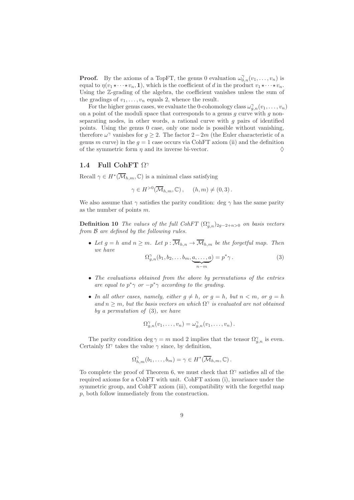**Proof.** By the axioms of a TopFT, the genus 0 evaluation  $\omega_{0,n}^{\gamma}(v_1,\ldots,v_n)$  is equal to  $\eta(v_1 \star \cdots \star v_n, 1)$ , which is the coefficient of d in the product  $v_1 \star \cdots \star v_n$ . Using the Z-grading of the algebra, the coefficient vanishes unless the sum of the gradings of  $v_1, \ldots, v_n$  equals 2, whence the result.

For the higher genus cases, we evaluate the 0-cohomology class  $\omega_{g,n}^{\gamma}(v_1,\ldots,v_n)$ on a point of the moduli space that corresponds to a genus  $g$  curve with  $g$  nonseparating nodes, in other words, a rational curve with  $g$  pairs of identified points. Using the genus 0 case, only one node is possible without vanishing, therefore  $\omega^{\gamma}$  vanishes for  $g \geq 2$ . The factor  $2-2m$  (the Euler characteristic of a genus m curve) in the  $q = 1$  case occurs via CohFT axiom (ii) and the definition of the symmetric form  $\eta$  and its inverse bi-vector.

### 1.4 Full CohFT  $\Omega^{\gamma}$

Recall  $\gamma \in H^*(\overline{\mathcal{M}}_{h,m}, \mathbb{C})$  is a minimal class satisfying

$$
\gamma \in H^{>0}(\overline{\mathcal{M}}_{h,m}, \mathbb{C}), \quad (h, m) \neq (0, 3).
$$

We also assume that  $\gamma$  satisfies the parity condition: deg  $\gamma$  has the same parity as the number of points m.

**Definition 10** The values of the full CohFT  $(\Omega_{g,n}^{\gamma})_{2g-2+n>0}$  on basis vectors from B are defined by the following rules.

• Let  $g = h$  and  $n \geq m$ . Let  $p : \overline{\mathcal{M}}_{h,n} \to \overline{\mathcal{M}}_{h,m}$  be the forgetful map. Then we have

$$
\Omega_{g,n}^{\gamma}(b_1, b_2, \dots b_m, \underbrace{a, \dots, a}_{n-m}) = p^* \gamma.
$$
 (3)

- The evaluations obtained from the above by permutations of the entries are equal to  $p^* \gamma$  or  $-p^* \gamma$  according to the grading.
- In all other cases, namely, either  $g \neq h$ , or  $g = h$ , but  $n < m$ , or  $g = h$ and  $n \geq m$ , but the basis vectors on which  $\Omega^{\gamma}$  is evaluated are not obtained by a permutation of  $(3)$ , we have

$$
\Omega_{g,n}^{\gamma}(v_1,\ldots,v_n)=\omega_{g,n}^{\gamma}(v_1,\ldots,v_n).
$$

The parity condition deg  $\gamma = m \mod 2$  implies that the tensor  $\Omega_{g,n}^{\gamma}$  is even. Certainly  $\Omega^{\gamma}$  takes the value  $\gamma$  since, by definition,

$$
\Omega_{h,m}^{\gamma}(b_1,\ldots,b_m)=\gamma\in H^*(\overline{\mathcal{M}}_{h,m},\mathbb{C}).
$$

To complete the proof of Theorem 6, we must check that  $\Omega^{\gamma}$  satisfies all of the required axioms for a CohFT with unit. CohFT axiom (i), invariance under the symmetric group, and CohFT axiom (iii), compatibility with the forgetful map p, both follow immediately from the construction.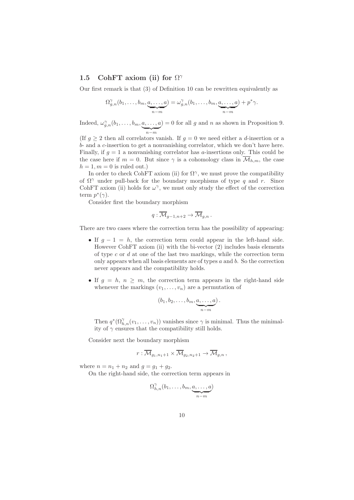### 1.5 CohFT axiom (ii) for  $\Omega^{\gamma}$

Our first remark is that (3) of Definition 10 can be rewritten equivalently as

$$
\Omega_{g,n}^{\gamma}(b_1,\ldots,b_m,\underbrace{a,\ldots,a}_{n-m})=\omega_{g,n}^{\gamma}(b_1,\ldots,b_m,\underbrace{a,\ldots,a}_{n-m})+p^*\gamma.
$$

Indeed,  $\omega_{g,n}^{\gamma}(b_1,\ldots,b_m,a,\ldots,a_n)$  $\sum_{n-m}$  $= 0$  for all g and n as shown in Proposition 9.

(If  $g \geq 2$  then all correlators vanish. If  $g = 0$  we need either a d-insertion or a b- and a c-insertion to get a nonvanishing correlator, which we don't have here. Finally, if  $g = 1$  a nonvanishing correlator has a-insertions only. This could be the case here if  $m = 0$ . But since  $\gamma$  is a cohomology class in  $\overline{\mathcal{M}}_{h,m}$ , the case  $h = 1, m = 0$  is ruled out.)

In order to check CohFT axiom (ii) for  $\Omega^{\gamma}$ , we must prove the compatibility of  $\Omega^{\gamma}$  under pull-back for the boundary morphisms of type q and r. Since CohFT axiom (ii) holds for  $\omega^{\gamma}$ , we must only study the effect of the correction term  $p^*(\gamma)$ .

Consider first the boundary morphism

$$
q:\overline{\mathcal{M}}_{g-1,n+2}\to \overline{\mathcal{M}}_{g,n}.
$$

There are two cases where the correction term has the possibility of appearing:

- If  $g 1 = h$ , the correction term could appear in the left-hand side. However CohFT axiom (ii) with the bi-vector (2) includes basis elements of type  $c$  or  $d$  at one of the last two markings, while the correction term only appears when all basis elements are of types  $a$  and  $b$ . So the correction never appears and the compatibility holds.
- If  $g = h, n \geq m$ , the correction term appears in the right-hand side whenever the markings  $(v_1, \ldots, v_n)$  are a permutation of

$$
(b_1, b_2, \ldots, b_m, \underbrace{a, \ldots, a}_{n-m})
$$
.

Then  $q^*(\Omega_{h,n}^{\gamma}(v_1,\ldots,v_n))$  vanishes since  $\gamma$  is minimal. Thus the minimality of  $\gamma$  ensures that the compatibility still holds.

Consider next the boundary morphism

$$
r:\overline{\mathcal{M}}_{g_1,n_1+1}\times\overline{\mathcal{M}}_{g_2,n_2+1}\to\overline{\mathcal{M}}_{g,n},
$$

where  $n = n_1 + n_2$  and  $g = g_1 + g_2$ .

On the right-hand side, the correction term appears in

$$
\Omega^{\gamma}_{h,n}(b_1,\ldots,b_m,\underbrace{a,\ldots,a}_{n-m})
$$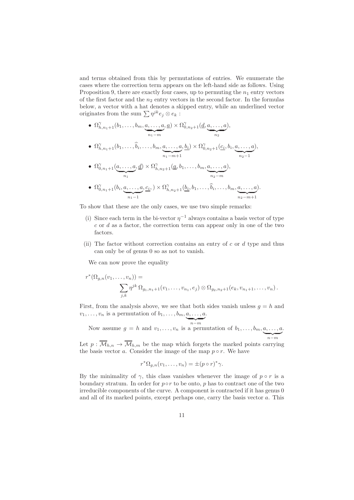and terms obtained from this by permutations of entries. We enumerate the cases where the correction term appears on the left-hand side as follows. Using Proposition 9, there are exactly four cases, up to permuting the  $n_1$  entry vectors of the first factor and the  $n_2$  entry vectors in the second factor. In the formulas below, a vector with a hat denotes a skipped entry, while an underlined vector originates from the sum  $\sum \eta^{jk} e_j \otimes e_k$ :

•  $\Omega_{h,n_1+1}^{\gamma}(b_1,\ldots,b_m,a,\ldots,a)$  $\sum_{n_1-m}$  $(a, a) \times \Omega_{0,n_2+1}^{\gamma}(\underline{d},a,\ldots,a)$  $\overbrace{ n_2 }$ ), •  $\Omega_{h,n_1+1}^{\gamma}(b_1,\ldots,\widehat{b}_i,\ldots,b_m,a,\ldots,a)$  $\sum_{n_1-m+1}$  $\left(\frac{b_i}{b_i}\right) \times \Omega_{0,n_2+1}^{\gamma}(\underline{c_i},b_i,\underline{a},\ldots,\underline{a})$  $\sum_{n_2-1}$ ), •  $\Omega_{0,n_1+1}^{\gamma}(a,\ldots,a)$  $\overbrace{ }^{n_1}$  $(a, \underline{d}) \times \Omega_{h,n_2+1}^{\gamma}(\underline{a},b_1,\ldots,b_m,\underline{a},\ldots,\underline{a})$  $\sum_{n_2-m}$ ), •  $\Omega_{0,n_1+1}^{\gamma}(b_i,a,\ldots,a)$  $\sum_{n_1-1}$  $, \underline{c_i}, \Delta \times \Omega_{h,n_2+1}^{\gamma}(\underline{b_i},b_1,\ldots,\widehat{b_i},\ldots,b_m,\underline{a},\ldots,\underline{a_n})$  $\sum_{n_2-m+1}$ ).

To show that these are the only cases, we use two simple remarks:

- (i) Since each term in the bi-vector  $\eta^{-1}$  always contains a basis vector of type  $c$  or  $d$  as a factor, the correction term can appear only in one of the two factors.
- (ii) The factor without correction contains an entry of  $c$  or  $d$  type and thus can only be of genus 0 so as not to vanish.

We can now prove the equality

$$
r^*(\Omega_{g,n}(v_1,\ldots,v_n)) = \sum_{j,k} \eta^{jk} \Omega_{g_1,n_1+1}(v_1,\ldots,v_{n_1},e_j) \otimes \Omega_{g_2,n_2+1}(e_k,v_{n_1+1},\ldots,v_n).
$$

First, from the analysis above, we see that both sides vanish unless  $g = h$  and  $v_1, \ldots, v_n$  is a permutation of  $b_1, \ldots, b_m, a, \ldots, a$ .

 $\sum_{n-m}$ Now assume  $g = h$  and  $v_1, \ldots, v_n$  is a permutation of  $b_1, \ldots, b_m, a, \ldots, a$  $\sum_{n-m}$ .

Let  $p : \overline{\mathcal{M}}_{h,n} \to \overline{\mathcal{M}}_{h,m}$  be the map which forgets the marked points carrying the basis vector a. Consider the image of the map  $p \circ r$ . We have

$$
r^*\Omega_{g,n}(v_1,\ldots,v_n)=\pm (p\circ r)^*\gamma.
$$

By the minimality of  $\gamma$ , this class vanishes whenever the image of  $p \circ r$  is a boundary stratum. In order for  $p \circ r$  to be onto, p has to contract one of the two irreducible components of the curve. A component is contracted if it has genus 0 and all of its marked points, except perhaps one, carry the basis vector a. This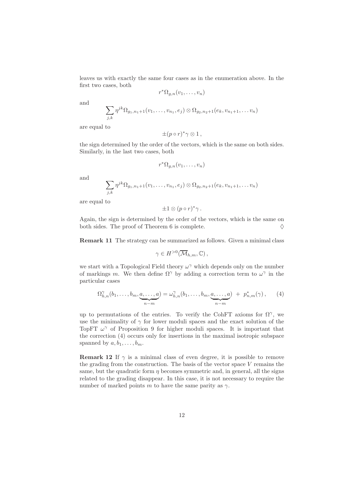leaves us with exactly the same four cases as in the enumeration above. In the first two cases, both

$$
r^*\Omega_{g,n}(v_1,\ldots,v_n)
$$

and

$$
\sum_{j,k} \eta^{jk} \Omega_{g_1,n_1+1}(v_1,\ldots,v_{n_1},e_j) \otimes \Omega_{g_2,n_2+1}(e_k,v_{n_1+1},\ldots,v_n)
$$

are equal to

$$
\pm (p \circ r)^* \gamma \otimes 1 ,
$$

the sign determined by the order of the vectors, which is the same on both sides. Similarly, in the last two cases, both

$$
r^*\Omega_{g,n}(v_1,\ldots,v_n)
$$

and

$$
\sum_{j,k} \eta^{jk} \Omega_{g_1,n_1+1}(v_1,\ldots,v_{n_1},e_j) \otimes \Omega_{g_2,n_2+1}(e_k,v_{n_1+1},\ldots,v_n)
$$

are equal to

$$
\pm 1\otimes (p\circ r)^*\gamma.
$$

Again, the sign is determined by the order of the vectors, which is the same on both sides. The proof of Theorem 6 is complete.  $\Diamond$ 

Remark 11 The strategy can be summarized as follows. Given a minimal class

$$
\gamma \in H^{>0}(\overline{\mathcal{M}}_{h,m},\mathbb{C}),
$$

we start with a Topological Field theory  $\omega^{\gamma}$  which depends only on the number of markings m. We then define  $\Omega^{\gamma}$  by adding a correction term to  $\omega^{\gamma}$  in the particular cases

$$
\Omega_{h,n}^{\gamma}(b_1,\ldots,b_m,\underbrace{a,\ldots,a}_{n-m}) = \omega_{h,n}^{\gamma}(b_1,\ldots,b_m,\underbrace{a,\ldots,a}_{n-m}) + p_{n,m}^*(\gamma), \qquad (4)
$$

up to permutations of the entries. To verify the CohFT axioms for  $\Omega^{\gamma}$ , we use the minimality of  $\gamma$  for lower moduli spaces and the exact solution of the TopFT  $\omega^{\gamma}$  of Proposition 9 for higher moduli spaces. It is important that the correction (4) occurs only for insertions in the maximal isotropic subspace spanned by  $a, b_1, \ldots, b_m$ .

**Remark 12** If  $\gamma$  is a minimal class of even degree, it is possible to remove the grading from the construction. The basis of the vector space  $V$  remains the same, but the quadratic form  $\eta$  becomes symmetric and, in general, all the signs related to the grading disappear. In this case, it is not necessary to require the number of marked points m to have the same parity as  $\gamma$ .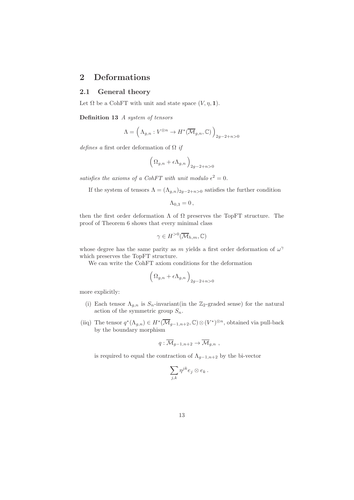### 2 Deformations

### 2.1 General theory

Let  $\Omega$  be a CohFT with unit and state space  $(V, \eta, 1)$ .

Definition 13 A system of tensors

$$
\Lambda=\Big(\Lambda_{g,n}: V^{\otimes n}\to H^*(\overline{\mathcal{M}}_{g,n},\mathbb{C})\Big)_{2g-2+n>0}
$$

defines a first order deformation of  $\Omega$  if

$$
\Big(\,\Omega_{g,n}+\epsilon\Lambda_{g,n}\,\Big)_{2g-2+n>0}
$$

satisfies the axioms of a CohFT with unit modulo  $\epsilon^2 = 0$ .

If the system of tensors  $\Lambda = (\Lambda_{g,n})_{2g-2+n>0}$  satisfies the further condition

$$
\Lambda_{0,3}=0\,,
$$

then the first order deformation  $\Lambda$  of  $\Omega$  preserves the TopFT structure. The proof of Theorem 6 shows that every minimal class

$$
\gamma\in H^{>0}(\overline{\mathcal{M}}_{h,m},\mathbb{C})
$$

whose degree has the same parity as m yields a first order deformation of  $\omega^{\gamma}$ which preserves the TopFT structure.

We can write the CohFT axiom conditions for the deformation

$$
\Big(\,\Omega_{g,n}+\epsilon\Lambda_{g,n}\,\Big)_{2g-2+n>0}
$$

more explicitly:

- (i) Each tensor  $\Lambda_{q,n}$  is  $S_n$ -invariant(in the Z<sub>2</sub>-graded sense) for the natural action of the symmetric group  $S_n$ .
- (iiq) The tensor  $q^*(\Lambda_{g,n}) \in H^*(\overline{\mathcal{M}}_{g-1,n+2}, \mathbb{C}) \otimes (V^*)^{\otimes n}$ , obtained via pull-back by the boundary morphism

$$
q:\overline{\mathcal{M}}_{g-1,n+2}\to \overline{\mathcal{M}}_{g,n} ,
$$

is required to equal the contraction of  $\Lambda_{q-1,n+2}$  by the bi-vector

$$
\sum_{j,k}\eta^{jk}e_j\otimes e_k.
$$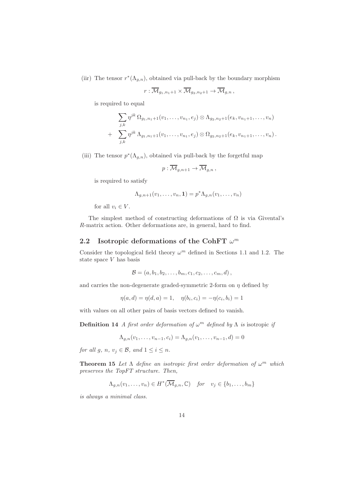(iir) The tensor  $r^*(\Lambda_{g,n})$ , obtained via pull-back by the boundary morphism

$$
r:\overline{\mathcal{M}}_{g_1,n_1+1}\times\overline{\mathcal{M}}_{g_2,n_2+1}\to\overline{\mathcal{M}}_{g,n},
$$

is required to equal

$$
\sum_{j,k} \eta^{jk} \Omega_{g_1,n_1+1}(v_1,\ldots,v_{n_1},e_j) \otimes \Lambda_{g_2,n_2+1}(e_k,v_{n_1+1},\ldots,v_n) + \sum_{j,k} \eta^{jk} \Lambda_{g_1,n_1+1}(v_1,\ldots,v_{n_1},e_j) \otimes \Omega_{g_2,n_2+1}(e_k,v_{n_1+1},\ldots,v_n).
$$

(iii) The tensor  $p^*(\Lambda_{g,n})$ , obtained via pull-back by the forgetful map

$$
p:\overline{\mathcal{M}}_{g,n+1}\to \overline{\mathcal{M}}_{g,n},
$$

is required to satisfy

$$
\Lambda_{g,n+1}(v_1,\ldots,v_n,\mathbf{1})=p^*\Lambda_{g,n}(v_1,\ldots,v_n)
$$

for all  $v_i \in V$ .

The simplest method of constructing deformations of  $\Omega$  is via Givental's R-matrix action. Other deformations are, in general, hard to find.

# 2.2 Isotropic deformations of the CohFT  $\omega^m$

Consider the topological field theory  $\omega^m$  defined in Sections 1.1 and 1.2. The state space V has basis

$$
B = (a, b_1, b_2, \ldots, b_m, c_1, c_2, \ldots, c_m, d),
$$

and carries the non-degenerate graded-symmetric 2-form on  $\eta$  defined by

$$
\eta(a, d) = \eta(d, a) = 1, \quad \eta(b_i, c_i) = -\eta(c_i, b_i) = 1
$$

with values on all other pairs of basis vectors defined to vanish.

**Definition 14** A first order deformation of  $\omega^m$  defined by  $\Lambda$  is isotropic if

$$
\Lambda_{g,n}(v_1,\ldots,v_{n-1},c_i) = \Lambda_{g,n}(v_1,\ldots,v_{n-1},d) = 0
$$

for all g, n,  $v_i \in \mathcal{B}$ , and  $1 \leq i \leq n$ .

**Theorem 15** Let  $\Lambda$  define an isotropic first order deformation of  $\omega^m$  which preserves the TopFT structure. Then,

$$
\Lambda_{g,n}(v_1,\ldots,v_n)\in H^*(\overline{\mathcal{M}}_{g,n},\mathbb{C})\quad \text{for}\quad v_j\in\{b_1,\ldots,b_m\}
$$

is always a minimal class.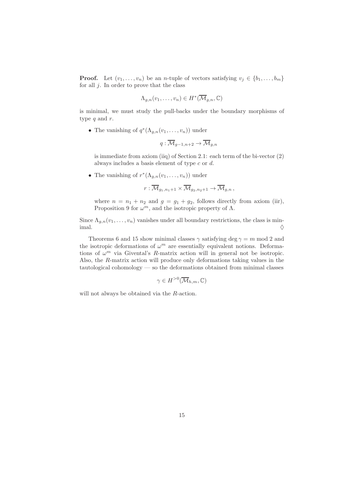**Proof.** Let  $(v_1, \ldots, v_n)$  be an *n*-tuple of vectors satisfying  $v_j \in \{b_1, \ldots, b_m\}$ for all  $j$ . In order to prove that the class

$$
\Lambda_{g,n}(v_1,\ldots,v_n)\in H^*(\overline{\mathcal{M}}_{g,n},\mathbb{C})
$$

is minimal, we must study the pull-backs under the boundary morphisms of type  $q$  and  $r$ .

• The vanishing of  $q^*(\Lambda_{g,n}(v_1,\ldots,v_n))$  under

$$
q:\overline{\mathcal{M}}_{g-1,n+2}\to \overline{\mathcal{M}}_{g,n}
$$

is immediate from axiom (iiq) of Section 2.1: each term of the bi-vector (2) always includes a basis element of type c or d.

• The vanishing of  $r^*(\Lambda_{g,n}(v_1,\ldots,v_n))$  under

$$
r:\overline{\mathcal{M}}_{g_1,n_1+1}\times\overline{\mathcal{M}}_{g_2,n_2+1}\to\overline{\mathcal{M}}_{g,n},
$$

where  $n = n_1 + n_2$  and  $g = g_1 + g_2$ , follows directly from axiom (iir), Proposition 9 for  $\omega^m$ , and the isotropic property of  $\Lambda$ .

Since  $\Lambda_{g,n}(v_1,\ldots,v_n)$  vanishes under all boundary restrictions, the class is minimal.  $\Diamond$ 

Theorems 6 and 15 show minimal classes  $\gamma$  satisfying deg  $\gamma = m \mod 2$  and the isotropic deformations of  $\omega^m$  are essentially equivalent notions. Deformations of  $\omega^m$  via Givental's R-matrix action will in general not be isotropic. Also, the R-matrix action will produce only deformations taking values in the tautological cohomology — so the deformations obtained from minimal classes

$$
\gamma \in H^{>0}(\overline{\mathcal{M}}_{h,m},\mathbb{C})
$$

will not always be obtained via the R-action.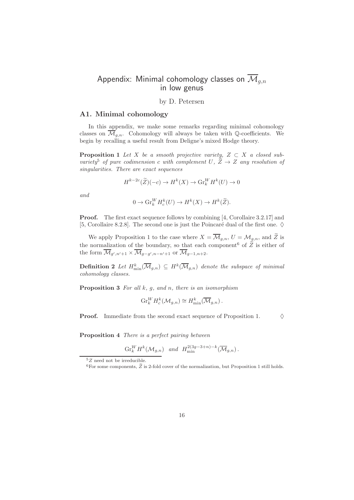# Appendix: Minimal cohomology classes on  $\overline{\mathcal{M}}_{a,n}$ in low genus

### by D. Petersen

### A1. Minimal cohomology

In this appendix, we make some remarks regarding minimal cohomology classes on  $\overline{\mathcal{M}}_{g,n}$ . Cohomology will always be taken with Q-coefficients. We begin by recalling a useful result from Deligne's mixed Hodge theory.

**Proposition 1** Let X be a smooth projective variety,  $Z \subset X$  a closed subvariety<sup>5</sup> of pure codimension c with complement U,  $\widetilde{Z} \rightarrow Z$  any resolution of singularities. There are exact sequences

$$
H^{k-2c}(\widetilde{Z})(-c) \to H^k(X) \to \text{Gr}_k^W H^k(U) \to 0
$$

and

$$
0 \to \mathrm{Gr}_{k}^{W} H_{c}^{k}(U) \to H^{k}(X) \to H^{k}(\widetilde{Z}).
$$

Proof. The first exact sequence follows by combining [4, Corollaire 3.2.17] and [5, Corollaire 8.2.8]. The second one is just the Poincaré dual of the first one.  $\diamond$ 

We apply Proposition 1 to the case where  $X = \overline{\mathcal{M}}_{q,n}$ ,  $U = \mathcal{M}_{q,n}$ , and  $\widetilde{Z}$  is the normalization of the boundary, so that each component of  $\widetilde{Z}$  is either of the form  $\mathcal{M}_{g',n'+1} \times \mathcal{M}_{g-g',n-n'+1}$  or  $\mathcal{M}_{g-1,n+2}$ .

**Definition 2** Let  $H_{\min}^k(\overline{\mathcal{M}}_{g,n}) \subseteq H^k(\overline{\mathcal{M}}_{g,n})$  denote the subspace of minimal cohomology classes.

**Proposition 3** For all  $k$ ,  $g$ , and  $n$ , there is an isomorphism

$$
\operatorname{Gr}_{k}^{W} H_{c}^{k}(\mathcal{M}_{g,n}) \cong H_{\min}^{k}(\overline{\mathcal{M}}_{g,n}).
$$

**Proof.** Immediate from the second exact sequence of Proposition 1.  $\diamond$ 

Proposition 4 There is a perfect pairing between

$$
\operatorname{Gr}_{k}^{W} H^{k}(\mathcal{M}_{g,n}) \quad \text{and} \quad H_{\min}^{2(3g-3+n)-k}(\overline{\mathcal{M}}_{g,n}).
$$

 ${}^{5}Z$  need not be irreducible.

<sup>&</sup>lt;sup>6</sup>For some components,  $\widetilde{Z}$  is 2-fold cover of the normalization, but Proposition 1 still holds.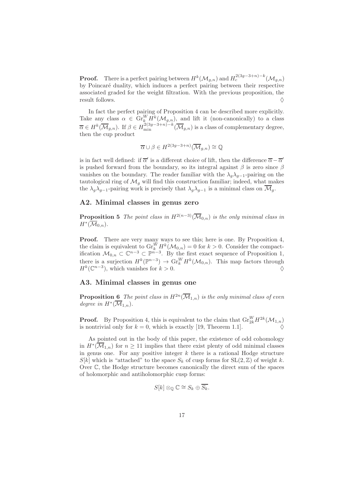**Proof.** There is a perfect pairing between  $H^k(\mathcal{M}_{g,n})$  and  $H_c^{2(3g-3+n)-k}(\mathcal{M}_{g,n})$ by Poincaré duality, which induces a perfect pairing between their respective associated graded for the weight filtration. With the previous proposition, the result follows.

In fact the perfect pairing of Proposition 4 can be described more explicitly. Take any class  $\alpha \in \mathrm{Gr}_k^W H^k(\mathcal{M}_{g,n})$ , and lift it (non-canonically) to a class  $\overline{\alpha} \in H^k(\overline{\mathcal{M}}_{g,n})$ . If  $\beta \in H^{2(3g-3+n)-k}_{min}(\overline{\mathcal{M}}_{g,n})$  is a class of complementary degree, then the cup product

$$
\overline{\alpha} \cup \beta \in H^{2(3g-3+n)}(\overline{\mathcal{M}}_{g,n}) \cong \mathbb{Q}
$$

is in fact well defined: if  $\overline{\alpha}'$  is a different choice of lift, then the difference  $\overline{\alpha} - \overline{\alpha}'$ is pushed forward from the boundary, so its integral against  $\beta$  is zero since  $\beta$ vanishes on the boundary. The reader familiar with the  $\lambda_a \lambda_{a-1}$ -pairing on the tautological ring of  $\mathcal{M}_q$  will find this construction familiar; indeed, what makes the  $\lambda_q \lambda_{q-1}$ -pairing work is precisely that  $\lambda_q \lambda_{q-1}$  is a minimal class on  $\overline{\mathcal{M}}_q$ .

### A2. Minimal classes in genus zero

**Proposition 5** The point class in  $H^{2(n-3)}(\overline{\mathcal{M}}_{0,n})$  is the only minimal class in  $H^*(\overline{\mathcal{M}}_{0,n}).$ 

Proof. There are very many ways to see this; here is one. By Proposition 4, the claim is equivalent to  $\mathrm{Gr}_{k}^{W} H^{k}(\mathcal{M}_{0,n}) = 0$  for  $k > 0$ . Consider the compactification  $\mathcal{M}_{0,n} \subset \mathbb{C}^{n-3} \subset \mathbb{P}^{n-3}$ . By the first exact sequence of Proposition 1, there is a surjection  $H^k(\mathbb{P}^{n-3}) \to Gr_k^W H^k(\mathcal{M}_{0,n})$ . This map factors through H<sup>k</sup> (C n−3 ), which vanishes for k > 0. ♦

### A3. Minimal classes in genus one

**Proposition 6** The point class in  $H^{2n}(\overline{\mathcal{M}}_{1,n})$  is the only minimal class of even degree in  $H^*(\overline{\mathcal{M}}_{1,n}).$ 

**Proof.** By Proposition 4, this is equivalent to the claim that  $\mathrm{Gr}_{2k}^WH^{2k}(\mathcal{M}_{1,n})$ is nontrivial only for  $k = 0$ , which is exactly [19, Theorem 1.1].

As pointed out in the body of this paper, the existence of odd cohomology in  $H^*(\overline{\mathcal{M}}_{1,n})$  for  $n \geq 11$  implies that there exist plenty of odd minimal classes in genus one. For any positive integer  $k$  there is a rational Hodge structure  $S[k]$  which is "attached" to the space  $S_k$  of cusp forms for  $SL(2, \mathbb{Z})$  of weight k. Over C, the Hodge structure becomes canonically the direct sum of the spaces of holomorphic and antiholomorphic cusp forms:

$$
S[k]\otimes_{\mathbb{Q}}\mathbb{C}\cong S_k\oplus \overline{S_k}.
$$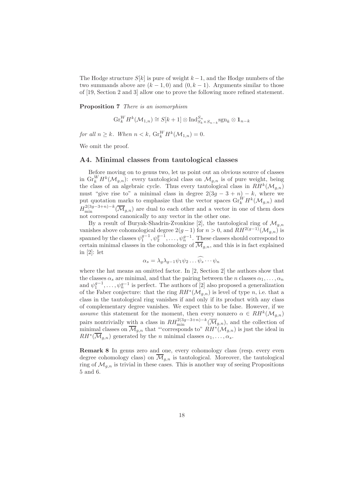The Hodge structure  $S[k]$  is pure of weight  $k-1$ , and the Hodge numbers of the two summands above are  $(k-1,0)$  and  $(0, k-1)$ . Arguments similar to those of [19, Section 2 and 3] allow one to prove the following more refined statement.

Proposition 7 There is an isomorphism

$$
\operatorname{Gr}_{k}^{W} H^{k}(\mathcal{M}_{1,n}) \cong S[k+1] \otimes \operatorname{Ind}_{S_{k} \times S_{n-k}}^{S_{n}} \operatorname{sgn}_{k} \otimes \mathbf{1}_{n-k}
$$

for all  $n \geq k$ . When  $n < k$ ,  $\mathrm{Gr}_{k}^{W} H^{k}(\mathcal{M}_{1,n}) = 0$ .

We omit the proof.

### A4. Minimal classes from tautological classes

Before moving on to genus two, let us point out an obvious source of classes in  $\mathrm{Gr}_{k}^{W}H^{k}(\mathcal{M}_{g,n})$ : every tautological class on  $\mathcal{M}_{g,n}$  is of pure weight, being the class of an algebraic cycle. Thus every tautological class in  $RH^k(\mathcal{M}_{g,n})$ must "give rise to" a minimal class in degree  $2(3g - 3 + n) - k$ , where we put quotation marks to emphasize that the vector spaces  $\operatorname{Gr}_k^W H^k(\mathcal{M}_{g,n})$  and  $H_{\min}^{2(3g-3+n)-k}(\overline{\mathcal{M}}_{g,n})$  are dual to each other and a vector in one of them does not correspond canonically to any vector in the other one.

By a result of Buryak-Shadrin-Zvonkine [2], the tautological ring of  $\mathcal{M}_{q,n}$ vanishes above cohomological degree  $2(g-1)$  for  $n > 0$ , and  $RH^{2(g-1)}(\mathcal{M}_{g,n})$  is spanned by the classes  $\psi_1^{g-1}, \psi_2^{g-1}, \ldots, \psi_n^{g-1}$ . These classes should correspond to certain minimal classes in the cohomology of  $\overline{\mathcal{M}}_{q,n}$ , and this is in fact explained in [2]: let

$$
\alpha_s = \lambda_g \lambda_{g-1} \psi_1 \psi_2 \dots \psi_s \dots \psi_n
$$

where the hat means an omitted factor. In [2, Section 2] the authors show that the classes  $\alpha_s$  are minimal, and that the pairing between the n classes  $\alpha_1, \ldots, \alpha_n$ and  $\psi_1^{g-1}, \ldots, \psi_n^{g-1}$  is perfect. The authors of [2] also proposed a generalization of the Faber conjecture: that the ring  $RH^*(\mathcal{M}_{g,n})$  is level of type n, i.e. that a class in the tautological ring vanishes if and only if its product with any class of complementary degree vanishes. We expect this to be false. However, if we assume this statement for the moment, then every nonzero  $\alpha \in RH^k(\mathcal{M}_{g,n})$ pairs nontrivially with a class in  $RH_{\min}^{2(3g-3+n)-k}(\overline{\mathcal{M}}_{g,n})$ , and the collection of minimal classes on  $\overline{\mathcal{M}}_{g,n}$  that "'corresponds to"  $RH^*(\mathcal{M}_{g,n})$  is just the ideal in  $RH^*(\overline{\mathcal{M}}_{g,n})$  generated by the *n* minimal classes  $\alpha_1,\ldots,\alpha_s$ .

Remark 8 In genus zero and one, every cohomology class (resp. every even degree cohomology class) on  $\mathcal{M}_{q,n}$  is tautological. Moreover, the tautological ring of  $\mathcal{M}_{q,n}$  is trivial in these cases. This is another way of seeing Propositions 5 and 6.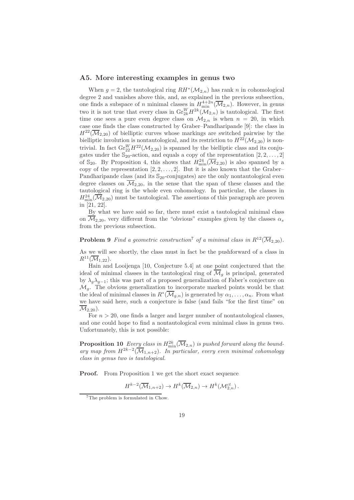### A5. More interesting examples in genus two

When  $g = 2$ , the tautological ring  $RH^*(\mathcal{M}_{2,n})$  has rank n in cohomological degree 2 and vanishes above this, and, as explained in the previous subsection, one finds a subspace of *n* minimal classes in  $H_{\min}^{4+2n}(\overline{\mathcal{M}}_{2,n})$ . However, in genus two it is not true that every class in  $\mathrm{Gr}^W_{2k}H^{2k}(\mathcal{M}_{2,n})$  is tautological. The first time one sees a pure even degree class on  $\mathcal{M}_{2,n}$  is when  $n = 20$ , in which case one finds the class constructed by Graber–Pandharipande [9]: the class in  $H^{22}(\overline{\mathcal{M}}_{2,20})$  of bielliptic curves whose markings are switched pairwise by the bielliptic involution is nontautological, and its restriction to  $H^{22}(\mathcal{M}_{2,20})$  is nontrivial. In fact  $\mathrm{Gr}^W_{22}H^{22}(\mathcal{M}_{2,20})$  is spanned by the bielliptic class and its conjugates under the  $\mathbb{S}_{20}$ -action, and equals a copy of the representation  $[2, 2, ..., 2]$ of  $\mathbb{S}_{20}$ . By Proposition 4, this shows that  $H^{24}_{min}(\overline{\mathcal{M}}_{2,20})$  is also spanned by a copy of the representation  $[2, 2, \ldots, 2]$ . But it is also known that the Graber– Pandharipande class (and its  $\mathbb{S}_{20}$ -conjugates) are the only nontautological even degree classes on  $\overline{\mathcal{M}}_{2,20}$ , in the sense that the span of these classes and the tautological ring is the whole even cohomology. In particular, the classes in  $H_{\text{min}}^{24}(\overline{\mathcal{M}}_{2,20})$  must be tautological. The assertions of this paragraph are proven in [21, 22].

By what we have said so far, there must exist a tautological minimal class on  $\overline{\mathcal{M}}_{2,20}$ , very different from the "obvious" examples given by the classes  $\alpha_s$ from the previous subsection.

**Problem 9** Find a geometric construction<sup>7</sup> of a minimal class in  $R^{12}(\overline{\mathcal{M}}_2, n)$ .

As we will see shortly, the class must in fact be the pushforward of a class in  $R^{11}(\overline{\mathcal{M}}_{1.22}).$ 

Hain and Looijenga [10, Conjecture 5.4] at one point conjectured that the ideal of minimal classes in the tautological ring of  $\overline{\mathcal{M}}_g$  is principal, generated by  $\lambda_q \lambda_{q-1}$ ; this was part of a proposed generalization of Faber's conjecture on  $\mathcal{M}_q$ . The obvious generalization to incorporate marked points would be that the ideal of minimal classes in  $R^*(\overline{\mathcal{M}}_{g,n})$  is generated by  $\alpha_1, \ldots, \alpha_n$ . From what we have said here, such a conjecture is false (and fails "for the first time" on  $\overline{\mathcal{M}}_{2,20}$ ).

For  $n > 20$ , one finds a larger and larger number of nontautological classes. and one could hope to find a nontautological even minimal class in genus two. Unfortunately, this is not possible:

**Proposition 10** Every class in  $H^{2k}_{min}(\overline{\mathcal{M}}_{2,n})$  is pushed forward along the boundary map from  $H^{2k-2}(\overline{\mathcal M}_{1,n+2})$ . In particular, every even minimal cohomology class in genus two is tautological.

**Proof.** From Proposition 1 we get the short exact sequence

$$
H^{k-2}(\overline{\mathcal{M}}_{1,n+2}) \to H^k(\overline{\mathcal{M}}_{2,n}) \to H^k(\mathcal{M}_{2,n}^{ct}).
$$

<sup>7</sup>The problem is formulated in Chow.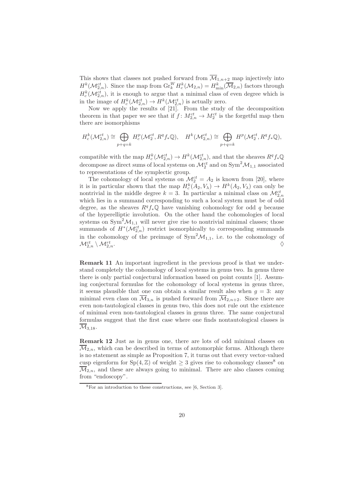This shows that classes not pushed forward from  $\overline{\mathcal{M}}_{1,n+2}$  map injectively into  $H^k(\mathcal{M}_{2,n}^{ct})$ . Since the map from  $\mathrm{Gr}_{k}^WH_c^k(\mathcal{M}_{2,n})=H_{\min}^k(\overline{\mathcal{M}}_{2,n})$  factors through  $H_c^k(\mathcal{M}_{2,n}^{ct})$ , it is enough to argue that a minimal class of even degree which is in the image of  $H_c^k(\mathcal{M}_{2,n}^{ct}) \to H^k(\mathcal{M}_{2,n}^{ct})$  is actually zero.

Now we apply the results of [21]. From the study of the decomposition theorem in that paper we see that if  $f: M_{2,n}^{ct} \to M_2^{ct}$  is the forgetful map then there are isomorphisms

$$
H^k_c(\mathcal{M}_{2,n}^{ct})\cong \bigoplus_{p+q=k}H^p_c(\mathcal{M}_2^{ct},R^qf_*\mathbb{Q}),\quad H^k(\mathcal{M}_{2,n}^{ct})\cong \bigoplus_{p+q=k}H^p(\mathcal{M}_2^{ct},R^qf_*\mathbb{Q}),
$$

compatible with the map  $H_c^k(\mathcal{M}_{2,n}^{ct}) \to H^k(\mathcal{M}_{2,n}^{ct}),$  and that the sheaves  $R^q f_* \mathbb{Q}$ decompose as direct sums of local systems on  $\mathcal{M}_2^{ct}$  and on  $\text{Sym}^2 \mathcal{M}_{1,1}$  associated to representations of the symplectic group.

The cohomology of local systems on  $\mathcal{M}_2^{ct} = A_2$  is known from [20], where it is in particular shown that the map  $H_c^k(A_2, V_\lambda) \to H^k(A_2, V_\lambda)$  can only be nontrivial in the middle degree  $k = 3$ . In particular a minimal class on  $\mathcal{M}_{2,n}^{ct}$ which lies in a summand corresponding to such a local system must be of odd degree, as the sheaves  $R^q f_*\mathbb{Q}$  have vanishing cohomology for odd q because of the hyperelliptic involution. On the other hand the cohomologies of local systems on  $\text{Sym}^2 \mathcal{M}_{1,1}$  will never give rise to nontrivial minimal classes; those summands of  $H^*(\mathcal{M}_{2,n}^{ct})$  restrict isomorphically to corresponding summands in the cohomology of the preimage of  $\text{Sym}^2\mathcal{M}_{1,1}$ , i.e. to the cohomology of  $\mathcal{M}^{ct}_{2,n} \setminus \mathcal{M}^{rt}_{2,2}$  $\mathcal{L}_{2,n}$ .

Remark 11 An important ingredient in the previous proof is that we understand completely the cohomology of local systems in genus two. In genus three there is only partial conjectural information based on point counts [1]. Assuming conjectural formulas for the cohomology of local systems in genus three, it seems plausible that one can obtain a similar result also when  $g = 3$ : any minimal even class on  $\overline{\mathcal{M}}_{3,n}$  is pushed forward from  $\overline{\mathcal{M}}_{2,n+2}$ . Since there are even non-tautological classes in genus two, this does not rule out the existence of minimal even non-tautological classes in genus three. The same conjectural formulas suggest that the first case where one finds nontautological classes is  $\mathcal{M}_{3,18}$ .

Remark 12 Just as in genus one, there are lots of odd minimal classes on  $\overline{\mathcal{M}}_{2n}$ , which can be described in terms of automorphic forms. Although there is no statement as simple as Proposition 7, it turns out that every vector-valued cusp eigenform for  $Sp(4, \mathbb{Z})$  of weight  $\geq 3$  gives rise to cohomology classes<sup>8</sup> on  $\overline{\mathcal{M}}_{2,n}$ , and these are always going to minimal. There are also classes coming from "endoscopy".

<sup>8</sup>For an introduction to these constructions, see [6, Section 3].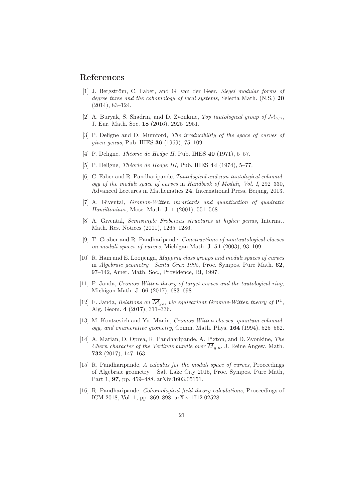### References

- [1] J. Bergström, C. Faber, and G. van der Geer, Siegel modular forms of degree three and the cohomology of local systems, Selecta Math. (N.S.) 20 (2014), 83–124.
- [2] A. Buryak, S. Shadrin, and D. Zvonkine, Top tautological group of  $\mathcal{M}_{q,n}$ , J. Eur. Math. Soc. 18 (2016), 2925–2951.
- [3] P. Deligne and D. Mumford, The irreducibility of the space of curves of given genus, Pub. IHES 36 (1969), 75–109.
- [4] P. Deligne, *Théorie de Hodge II*, Pub. IHES  $40$  (1971), 5–57.
- [5] P. Deligne, *Théorie de Hodge III*, Pub. IHES 44 (1974), 5-77.
- [6] C. Faber and R. Pandharipande, Tautological and non-tautological cohomology of the moduli space of curves in Handbook of Moduli, Vol. I, 292–330, Advanced Lectures in Mathematics 24, International Press, Beijing, 2013.
- [7] A. Givental, Gromov-Witten invariants and quantization of quadratic Hamiltonians, Mosc. Math. J. 1 (2001), 551–568.
- [8] A. Givental, Semisimple Frobenius structures at higher genus, Internat. Math. Res. Notices (2001), 1265–1286.
- [9] T. Graber and R. Pandharipande, Constructions of nontautological classes on moduli spaces of curves, Michigan Math. J. 51 (2003), 93–109.
- [10] R. Hain and E. Looijenga, Mapping class groups and moduli spaces of curves in Algebraic geometry—Santa Cruz 1995, Proc. Sympos. Pure Math. 62, 97–142, Amer. Math. Soc., Providence, RI, 1997.
- [11] F. Janda, Gromov-Witten theory of target curves and the tautological ring, Michigan Math. J. 66 (2017), 683–698.
- [12] F. Janda, Relations on  $\overline{\mathcal{M}}_{g,n}$  via equivariant Gromov-Witten theory of  $\mathbf{P}^1$ , Alg. Geom. 4 (2017), 311–336.
- [13] M. Kontsevich and Yu. Manin, Gromov-Witten classes, quantum cohomology, and enumerative geometry, Comm. Math. Phys. 164 (1994), 525–562.
- [14] A. Marian, D. Oprea, R. Pandharipande, A. Pixton, and D. Zvonkine, The Chern character of the Verlinde bundle over  $\overline{M}_{q,n}$ , J. Reine Angew. Math. 732 (2017), 147–163.
- [15] R. Pandharipande, A calculus for the moduli space of curves, Proceedings of Algebraic geometry – Salt Lake City 2015, Proc. Sympos. Pure Math, Part 1, 97, pp. 459–488. arXiv:1603.05151.
- [16] R. Pandharipande, Cohomological field theory calculations, Proceedings of ICM 2018, Vol. 1, pp. 869–898. arXiv:1712.02528.